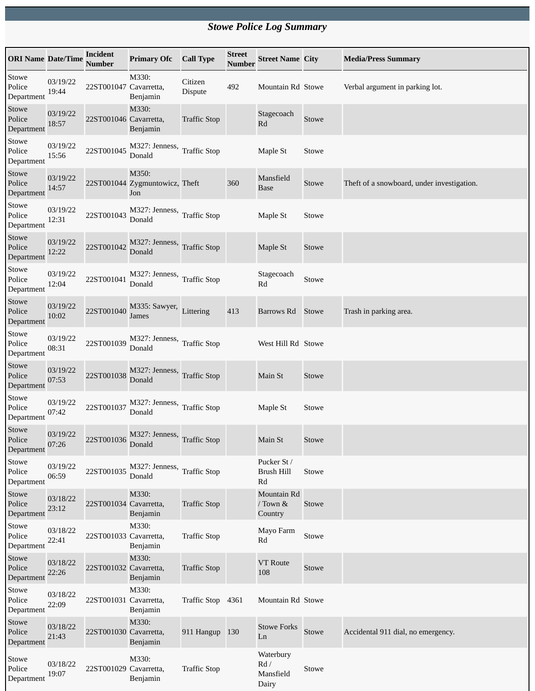## *Stowe Police Log Summary*

| <b>ORI Name Date/Time</b>     |                   | Incident<br><b>Number</b> | <b>Primary Ofc</b>                             | <b>Call Type</b>    | <b>Street</b><br><b>Number</b> | <b>Street Name City</b>                               |       | <b>Media/Press Summary</b>                 |
|-------------------------------|-------------------|---------------------------|------------------------------------------------|---------------------|--------------------------------|-------------------------------------------------------|-------|--------------------------------------------|
| Stowe<br>Police<br>Department | 03/19/22<br>19:44 | 22ST001047 Cavarretta,    | M330:<br>Benjamin                              | Citizen<br>Dispute  | 492                            | Mountain Rd Stowe                                     |       | Verbal argument in parking lot.            |
| Stowe<br>Police<br>Department | 03/19/22<br>18:57 | 22ST001046 Cavarretta,    | M330:<br>Benjamin                              | <b>Traffic Stop</b> |                                | Stagecoach<br>Rd                                      | Stowe |                                            |
| Stowe<br>Police<br>Department | 03/19/22<br>15:56 | 22ST001045                | M327: Jenness,<br>Donald                       | <b>Traffic Stop</b> |                                | Maple St                                              | Stowe |                                            |
| Stowe<br>Police<br>Department | 03/19/22<br>14:57 |                           | M350:<br>22ST001044 Zygmuntowicz, Theft<br>Jon |                     | 360                            | Mansfield<br><b>Base</b>                              | Stowe | Theft of a snowboard, under investigation. |
| Stowe<br>Police<br>Department | 03/19/22<br>12:31 | 22ST001043                | M327: Jenness, Traffic Stop<br>Donald          |                     |                                | Maple St                                              | Stowe |                                            |
| Stowe<br>Police<br>Department | 03/19/22<br>12:22 | 22ST001042                | M327: Jenness, Traffic Stop<br>Donald          |                     |                                | Maple St                                              | Stowe |                                            |
| Stowe<br>Police<br>Department | 03/19/22<br>12:04 | 22ST001041                | M327: Jenness, Traffic Stop<br>Donald          |                     |                                | Stagecoach<br>$\mathbf{R}\mathbf{d}$                  | Stowe |                                            |
| Stowe<br>Police<br>Department | 03/19/22<br>10:02 | 22ST001040                | M335: Sawyer,<br>James                         | Littering           | 413                            | Barrows Rd                                            | Stowe | Trash in parking area.                     |
| Stowe<br>Police<br>Department | 03/19/22<br>08:31 | 22ST001039                | M327: Jenness, Traffic Stop<br>Donald          |                     |                                | West Hill Rd Stowe                                    |       |                                            |
| Stowe<br>Police<br>Department | 03/19/22<br>07:53 | 22ST001038                | M327: Jenness,<br>Donald                       | <b>Traffic Stop</b> |                                | Main St                                               | Stowe |                                            |
| Stowe<br>Police<br>Department | 03/19/22<br>07:42 | 22ST001037                | M327: Jenness,<br>Donald                       | <b>Traffic Stop</b> |                                | Maple St                                              | Stowe |                                            |
| Stowe<br>Police<br>Department | 03/19/22<br>07:26 | 22ST001036                | M327: Jenness, Traffic Stop<br>Donald          |                     |                                | Main St                                               | Stowe |                                            |
| Stowe<br>Police<br>Department | 03/19/22<br>06:59 | 22ST001035                | M327: Jenness, Traffic Stop<br>Donald          |                     |                                | Pucker St /<br>Brush Hill<br>Rd                       | Stowe |                                            |
| Stowe<br>Police<br>Department | 03/18/22<br>23:12 | 22ST001034 Cavarretta,    | M330:<br>Benjamin                              | <b>Traffic Stop</b> |                                | Mountain Rd<br>/ Town &<br>Country                    | Stowe |                                            |
| Stowe<br>Police<br>Department | 03/18/22<br>22:41 | 22ST001033 Cavarretta,    | M330:<br>Benjamin                              | <b>Traffic Stop</b> |                                | Mayo Farm<br>Rd                                       | Stowe |                                            |
| Stowe<br>Police<br>Department | 03/18/22<br>22:26 | 22ST001032 Cavarretta,    | M330:<br>Benjamin                              | <b>Traffic Stop</b> |                                | <b>VT</b> Route<br>108                                | Stowe |                                            |
| Stowe<br>Police<br>Department | 03/18/22<br>22:09 | 22ST001031 Cavarretta,    | M330:<br>Benjamin                              | Traffic Stop 4361   |                                | Mountain Rd Stowe                                     |       |                                            |
| Stowe<br>Police<br>Department | 03/18/22<br>21:43 | 22ST001030 Cavarretta,    | M330:<br>Benjamin                              | 911 Hangup 130      |                                | <b>Stowe Forks</b><br>Ln                              | Stowe | Accidental 911 dial, no emergency.         |
| Stowe<br>Police<br>Department | 03/18/22<br>19:07 | 22ST001029 Cavarretta,    | M330:<br>Benjamin                              | <b>Traffic Stop</b> |                                | Waterbury<br>$\mathop{\rm Rd}/$<br>Mansfield<br>Dairy | Stowe |                                            |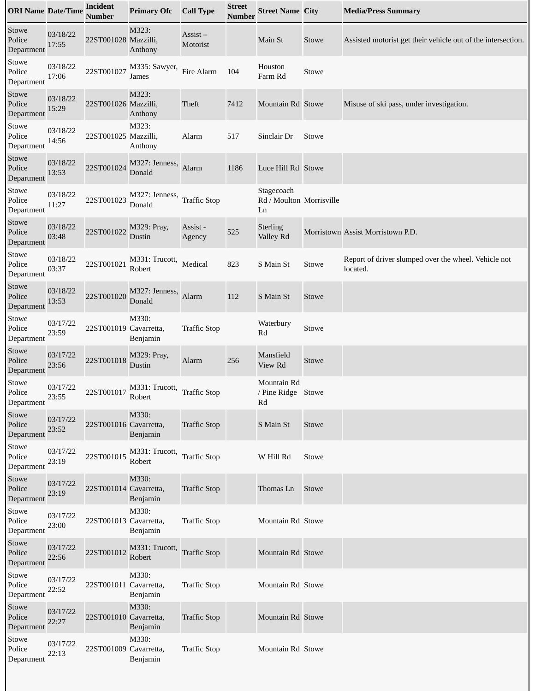| <b>ORI Name Date/Time</b>     |                   | <b>Incident</b><br><b>Number</b> | <b>Primary Ofc</b>       | <b>Call Type</b>                   | <b>Street</b><br><b>Number</b> | <b>Street Name City</b>                      |       | <b>Media/Press Summary</b>                                       |
|-------------------------------|-------------------|----------------------------------|--------------------------|------------------------------------|--------------------------------|----------------------------------------------|-------|------------------------------------------------------------------|
| Stowe<br>Police<br>Department | 03/18/22<br>17:55 | 22ST001028 Mazzilli,             | M323:<br>Anthony         | $\overline{A}$ ssist –<br>Motorist |                                | Main St                                      | Stowe | Assisted motorist get their vehicle out of the intersection.     |
| Stowe<br>Police<br>Department | 03/18/22<br>17:06 | 22ST001027                       | M335: Sawyer,<br>James   | Fire Alarm                         | 104                            | Houston<br>Farm Rd                           | Stowe |                                                                  |
| Stowe<br>Police<br>Department | 03/18/22<br>15:29 | 22ST001026 Mazzilli,             | M323:<br>Anthony         | Theft                              | 7412                           | Mountain Rd Stowe                            |       | Misuse of ski pass, under investigation.                         |
| Stowe<br>Police<br>Department | 03/18/22<br>14:56 | 22ST001025 Mazzilli,             | M323:<br>Anthony         | Alarm                              | 517                            | Sinclair Dr                                  | Stowe |                                                                  |
| Stowe<br>Police<br>Department | 03/18/22<br>13:53 | 22ST001024                       | M327: Jenness,<br>Donald | Alarm                              | 1186                           | Luce Hill Rd Stowe                           |       |                                                                  |
| Stowe<br>Police<br>Department | 03/18/22<br>11:27 | 22ST001023                       | M327: Jenness,<br>Donald | <b>Traffic Stop</b>                |                                | Stagecoach<br>Rd / Moulton Morrisville<br>Ln |       |                                                                  |
| Stowe<br>Police<br>Department | 03/18/22<br>03:48 | 22ST001022                       | M329: Pray,<br>Dustin    | Assist -<br>Agency                 | 525                            | <b>Sterling</b><br>Valley Rd                 |       | Morristown Assist Morristown P.D.                                |
| Stowe<br>Police<br>Department | 03/18/22<br>03:37 | 22ST001021                       | M331: Trucott,<br>Robert | Medical                            | 823                            | S Main St                                    | Stowe | Report of driver slumped over the wheel. Vehicle not<br>located. |
| Stowe<br>Police<br>Department | 03/18/22<br>13:53 | 22ST001020                       | M327: Jenness,<br>Donald | Alarm                              | 112                            | S Main St                                    | Stowe |                                                                  |
| Stowe<br>Police<br>Department | 03/17/22<br>23:59 | 22ST001019 Cavarretta,           | M330:<br>Benjamin        | <b>Traffic Stop</b>                |                                | Waterbury<br>Rd                              | Stowe |                                                                  |
| Stowe<br>Police<br>Department | 03/17/22<br>23:56 | 22ST001018                       | M329: Pray,<br>Dustin    | Alarm                              | 256                            | Mansfield<br>View Rd                         | Stowe |                                                                  |
| Stowe<br>Police<br>Department | 03/17/22<br>23:55 | 22ST001017                       | M331: Trucott,<br>Robert | <b>Traffic Stop</b>                |                                | Mountain Rd<br>/ Pine Ridge Stowe<br>Rd      |       |                                                                  |
| Stowe<br>Police<br>Department | 03/17/22<br>23:52 | 22ST001016 Cavarretta,           | M330:<br>Benjamin        | <b>Traffic Stop</b>                |                                | S Main St                                    | Stowe |                                                                  |
| Stowe<br>Police<br>Department | 03/17/22<br>23:19 | 22ST001015                       | M331: Trucott,<br>Robert | <b>Traffic Stop</b>                |                                | W Hill Rd                                    | Stowe |                                                                  |
| Stowe<br>Police<br>Department | 03/17/22<br>23:19 | 22ST001014 Cavarretta,           | M330:<br>Benjamin        | <b>Traffic Stop</b>                |                                | Thomas Ln                                    | Stowe |                                                                  |
| Stowe<br>Police<br>Department | 03/17/22<br>23:00 | 22ST001013 Cavarretta,           | M330:<br>Benjamin        | <b>Traffic Stop</b>                |                                | Mountain Rd Stowe                            |       |                                                                  |
| Stowe<br>Police<br>Department | 03/17/22<br>22:56 | 22ST001012                       | M331: Trucott,<br>Robert | <b>Traffic Stop</b>                |                                | Mountain Rd Stowe                            |       |                                                                  |
| Stowe<br>Police<br>Department | 03/17/22<br>22:52 | 22ST001011 Cavarretta,           | M330:<br>Benjamin        | <b>Traffic Stop</b>                |                                | Mountain Rd Stowe                            |       |                                                                  |
| Stowe<br>Police<br>Department | 03/17/22<br>22:27 | 22ST001010 Cavarretta,           | M330:<br>Benjamin        | <b>Traffic Stop</b>                |                                | Mountain Rd Stowe                            |       |                                                                  |
| Stowe<br>Police<br>Department | 03/17/22<br>22:13 | 22ST001009 Cavarretta,           | M330:<br>Benjamin        | <b>Traffic Stop</b>                |                                | Mountain Rd Stowe                            |       |                                                                  |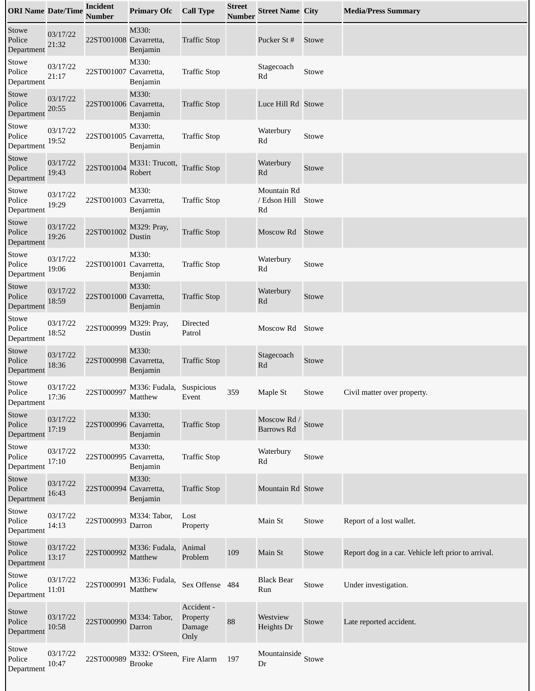| <b>ORI Name Date/Time</b>     |                   | <b>Incident</b><br><b>Number</b> | <b>Primary Ofc</b>              | <b>Call Type</b>                         | <b>Street</b><br><b>Number</b> | <b>Street Name City</b>                |       | <b>Media/Press Summary</b>                          |
|-------------------------------|-------------------|----------------------------------|---------------------------------|------------------------------------------|--------------------------------|----------------------------------------|-------|-----------------------------------------------------|
| Stowe<br>Police<br>Department | 03/17/22<br>21:32 | 22ST001008 Cavarretta,           | M330:<br>Benjamin               | <b>Traffic Stop</b>                      |                                | Pucker St#                             | Stowe |                                                     |
| Stowe<br>Police<br>Department | 03/17/22<br>21:17 | 22ST001007 Cavarretta,           | M330:<br>Benjamin               | <b>Traffic Stop</b>                      |                                | Stagecoach<br>Rd                       | Stowe |                                                     |
| Stowe<br>Police<br>Department | 03/17/22<br>20:55 | 22ST001006 Cavarretta,           | M330:<br>Benjamin               | <b>Traffic Stop</b>                      |                                | Luce Hill Rd Stowe                     |       |                                                     |
| Stowe<br>Police<br>Department | 03/17/22<br>19:52 | 22ST001005 Cavarretta,           | M330:<br>Benjamin               | <b>Traffic Stop</b>                      |                                | Waterbury<br>Rd                        | Stowe |                                                     |
| Stowe<br>Police<br>Department | 03/17/22<br>19:43 | 22ST001004                       | M331: Trucott,<br>Robert        | <b>Traffic Stop</b>                      |                                | Waterbury<br>Rd                        | Stowe |                                                     |
| Stowe<br>Police<br>Department | 03/17/22<br>19:29 | 22ST001003 Cavarretta,           | M330:<br>Benjamin               | <b>Traffic Stop</b>                      |                                | Mountain Rd<br>/ Edson Hill<br>Rd      | Stowe |                                                     |
| Stowe<br>Police<br>Department | 03/17/22<br>19:26 | 22ST001002                       | M329: Pray,<br>Dustin           | <b>Traffic Stop</b>                      |                                | Moscow Rd                              | Stowe |                                                     |
| Stowe<br>Police<br>Department | 03/17/22<br>19:06 | 22ST001001 Cavarretta,           | M330:<br>Benjamin               | <b>Traffic Stop</b>                      |                                | Waterbury<br>Rd                        | Stowe |                                                     |
| Stowe<br>Police<br>Department | 03/17/22<br>18:59 | 22ST001000 Cavarretta,           | M330:<br>Benjamin               | <b>Traffic Stop</b>                      |                                | Waterbury<br>Rd                        | Stowe |                                                     |
| Stowe<br>Police<br>Department | 03/17/22<br>18:52 | 22ST000999                       | M329: Pray,<br>Dustin           | Directed<br>Patrol                       |                                | Moscow Rd                              | Stowe |                                                     |
| Stowe<br>Police<br>Department | 03/17/22<br>18:36 | 22ST000998 Cavarretta,           | M330:<br>Benjamin               | <b>Traffic Stop</b>                      |                                | Stagecoach<br>Rd                       | Stowe |                                                     |
| Stowe<br>Police<br>Department | 03/17/22<br>17:36 | 22ST000997                       | M336: Fudala,<br>Matthew        | Suspicious<br>Event                      | 359                            | Maple St                               | Stowe | Civil matter over property.                         |
| Stowe<br>Police<br>Department | 03/17/22<br>17:19 | 22ST000996 Cavarretta,           | M330:<br>Benjamin               | <b>Traffic Stop</b>                      |                                | Moscow Rd / Stowe<br><b>Barrows Rd</b> |       |                                                     |
| Stowe<br>Police<br>Department | 03/17/22<br>17:10 | 22ST000995 Cavarretta,           | M330:<br>Benjamin               | <b>Traffic Stop</b>                      |                                | Waterbury<br>Rd                        | Stowe |                                                     |
| Stowe<br>Police<br>Department | 03/17/22<br>16:43 | 22ST000994 Cavarretta,           | M330:<br>Benjamin               | <b>Traffic Stop</b>                      |                                | Mountain Rd Stowe                      |       |                                                     |
| Stowe<br>Police<br>Department | 03/17/22<br>14:13 | 22ST000993                       | M334: Tabor,<br>Darron          | Lost<br>Property                         |                                | Main St                                | Stowe | Report of a lost wallet.                            |
| Stowe<br>Police<br>Department | 03/17/22<br>13:17 | 22ST000992                       | M336: Fudala,<br>Matthew        | Animal<br>Problem                        | 109                            | Main St                                | Stowe | Report dog in a car. Vehicle left prior to arrival. |
| Stowe<br>Police<br>Department | 03/17/22<br>11:01 | 22ST000991                       | M336: Fudala,<br>Matthew        | Sex Offense                              | 484                            | <b>Black Bear</b><br>Run               | Stowe | Under investigation.                                |
| Stowe<br>Police<br>Department | 03/17/22<br>10:58 | 22ST000990                       | M334: Tabor,<br>Darron          | Accident -<br>Property<br>Damage<br>Only | 88                             | Westview<br>Heights Dr                 | Stowe | Late reported accident.                             |
| Stowe<br>Police<br>Department | 03/17/22<br>10:47 | 22ST000989                       | M332: O'Steen,<br><b>Brooke</b> | Fire Alarm                               | 197                            | Mountainside<br>Dr                     | Stowe |                                                     |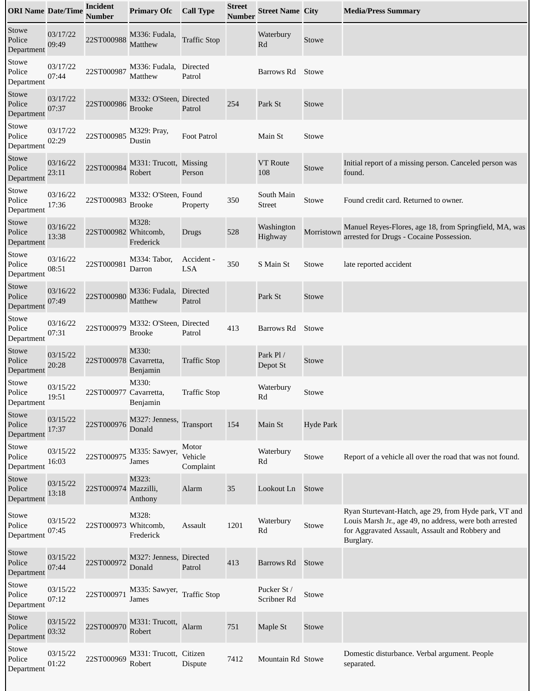| <b>ORI Name Date/Time</b>     |                   | <b>Incident</b><br><b>Number</b> | <b>Primary Ofc</b>                       | <b>Call Type</b>              | <b>Street</b><br><b>Number</b> | <b>Street Name City</b>    |                  | <b>Media/Press Summary</b>                                                                                                                                                       |
|-------------------------------|-------------------|----------------------------------|------------------------------------------|-------------------------------|--------------------------------|----------------------------|------------------|----------------------------------------------------------------------------------------------------------------------------------------------------------------------------------|
| Stowe<br>Police<br>Department | 03/17/22<br>09:49 | 22ST000988                       | M336: Fudala,<br>Matthew                 | <b>Traffic Stop</b>           |                                | Waterbury<br>Rd            | Stowe            |                                                                                                                                                                                  |
| Stowe<br>Police<br>Department | 03/17/22<br>07:44 | 22ST000987                       | M336: Fudala,<br>Matthew                 | Directed<br>Patrol            |                                | Barrows Rd                 | Stowe            |                                                                                                                                                                                  |
| Stowe<br>Police<br>Department | 03/17/22<br>07:37 | 22ST000986                       | M332: O'Steen, Directed<br><b>Brooke</b> | Patrol                        | 254                            | Park St                    | Stowe            |                                                                                                                                                                                  |
| Stowe<br>Police<br>Department | 03/17/22<br>02:29 | 22ST000985                       | M329: Pray,<br>Dustin                    | Foot Patrol                   |                                | Main St                    | Stowe            |                                                                                                                                                                                  |
| Stowe<br>Police<br>Department | 03/16/22<br>23:11 | 22ST000984                       | M331: Trucott, Missing<br>Robert         | Person                        |                                | <b>VT</b> Route<br>108     | Stowe            | Initial report of a missing person. Canceled person was<br>found.                                                                                                                |
| Stowe<br>Police<br>Department | 03/16/22<br>17:36 | 22ST000983                       | M332: O'Steen, Found<br><b>Brooke</b>    | Property                      | 350                            | South Main<br>Street       | Stowe            | Found credit card. Returned to owner.                                                                                                                                            |
| Stowe<br>Police<br>Department | 03/16/22<br>13:38 | 22ST000982 Whitcomb,             | M328:<br>Frederick                       | Drugs                         | 528                            | Washington<br>Highway      | Morristown       | Manuel Reyes-Flores, age 18, from Springfield, MA, was<br>arrested for Drugs - Cocaine Possession.                                                                               |
| Stowe<br>Police<br>Department | 03/16/22<br>08:51 | 22ST000981                       | M334: Tabor,<br>Darron                   | Accident -<br><b>LSA</b>      | 350                            | S Main St                  | Stowe            | late reported accident                                                                                                                                                           |
| Stowe<br>Police<br>Department | 03/16/22<br>07:49 | 22ST000980                       | M336: Fudala,<br>Matthew                 | <b>Directed</b><br>Patrol     |                                | Park St                    | Stowe            |                                                                                                                                                                                  |
| Stowe<br>Police<br>Department | 03/16/22<br>07:31 | 22ST000979                       | M332: O'Steen, Directed<br>Brooke        | Patrol                        | 413                            | Barrows Rd                 | Stowe            |                                                                                                                                                                                  |
| Stowe<br>Police<br>Department | 03/15/22<br>20:28 | 22ST000978 Cavarretta,           | M330:<br>Benjamin                        | <b>Traffic Stop</b>           |                                | Park Pl /<br>Depot St      | Stowe            |                                                                                                                                                                                  |
| Stowe<br>Police<br>Department | 03/15/22<br>19:51 | 22ST000977 Cavarretta,           | M330:<br>Benjamin                        | <b>Traffic Stop</b>           |                                | Waterbury<br>Rd            | Stowe            |                                                                                                                                                                                  |
| Stowe<br>Police<br>Department | 03/15/22<br>17:37 | 22ST000976                       | M327: Jenness,<br>Donald                 | Transport                     | 154                            | Main St                    | <b>Hyde Park</b> |                                                                                                                                                                                  |
| Stowe<br>Police<br>Department | 03/15/22<br>16:03 | 22ST000975                       | M335: Sawyer,<br>James                   | Motor<br>Vehicle<br>Complaint |                                | Waterbury<br>Rd            | Stowe            | Report of a vehicle all over the road that was not found.                                                                                                                        |
| Stowe<br>Police<br>Department | 03/15/22<br>13:18 | 22ST000974 Mazzilli,             | M323:<br>Anthony                         | Alarm                         | 35                             | Lookout Ln                 | Stowe            |                                                                                                                                                                                  |
| Stowe<br>Police<br>Department | 03/15/22<br>07:45 | 22ST000973 Whitcomb,             | M328:<br>Frederick                       | Assault                       | 1201                           | Waterbury<br>Rd            | Stowe            | Ryan Sturtevant-Hatch, age 29, from Hyde park, VT and<br>Louis Marsh Jr., age 49, no address, were both arrested<br>for Aggravated Assault, Assault and Robbery and<br>Burglary. |
| Stowe<br>Police<br>Department | 03/15/22<br>07:44 | 22ST000972                       | M327: Jenness, Directed<br>Donald        | Patrol                        | 413                            | Barrows Rd                 | Stowe            |                                                                                                                                                                                  |
| Stowe<br>Police<br>Department | 03/15/22<br>07:12 | 22ST000971                       | M335: Sawyer,<br>James                   | <b>Traffic Stop</b>           |                                | Pucker St /<br>Scribner Rd | Stowe            |                                                                                                                                                                                  |
| Stowe<br>Police<br>Department | 03/15/22<br>03:32 | 22ST000970                       | M331: Trucott,<br>Robert                 | Alarm                         | $751\,$                        | Maple St                   | Stowe            |                                                                                                                                                                                  |
| Stowe<br>Police<br>Department | 03/15/22<br>01:22 | 22ST000969                       | M331: Trucott, Citizen<br>Robert         | Dispute                       | 7412                           | Mountain Rd Stowe          |                  | Domestic disturbance. Verbal argument. People<br>separated.                                                                                                                      |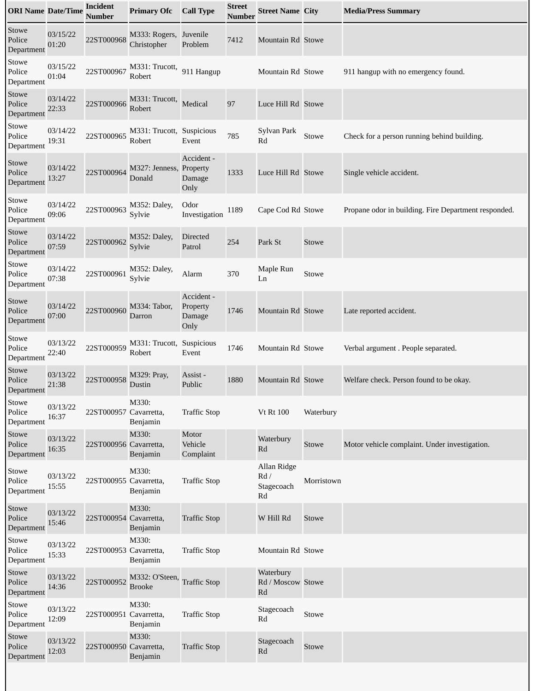| <b>ORI Name Date/Time</b>     |                   | <b>Incident</b><br><b>Number</b> | <b>Primary Ofc</b>                    | <b>Call Type</b>                         | <b>Street</b><br>Number | <b>Street Name City</b>                                     |            | <b>Media/Press Summary</b>                           |
|-------------------------------|-------------------|----------------------------------|---------------------------------------|------------------------------------------|-------------------------|-------------------------------------------------------------|------------|------------------------------------------------------|
| Stowe<br>Police<br>Department | 03/15/22<br>01:20 | 22ST000968                       | M333: Rogers, Juvenile<br>Christopher | Problem                                  | 7412                    | Mountain Rd Stowe                                           |            |                                                      |
| Stowe<br>Police<br>Department | 03/15/22<br>01:04 | 22ST000967                       | M331: Trucott,<br>Robert              | 911 Hangup                               |                         | Mountain Rd Stowe                                           |            | 911 hangup with no emergency found.                  |
| Stowe<br>Police<br>Department | 03/14/22<br>22:33 | 22ST000966                       | M331: Trucott,<br>Robert              | Medical                                  | 97                      | Luce Hill Rd Stowe                                          |            |                                                      |
| Stowe<br>Police<br>Department | 03/14/22<br>19:31 | 22ST000965                       | M331: Trucott, Suspicious<br>Robert   | Event                                    | 785                     | Sylvan Park<br>Rd                                           | Stowe      | Check for a person running behind building.          |
| Stowe<br>Police<br>Department | 03/14/22<br>13:27 | 22ST000964                       | M327: Jenness, Property<br>Donald     | Accident -<br>Damage<br>Only             | 1333                    | Luce Hill Rd Stowe                                          |            | Single vehicle accident.                             |
| Stowe<br>Police<br>Department | 03/14/22<br>09:06 | 22ST000963                       | M352: Daley,<br>Sylvie                | Odor<br>Investigation                    | 1189                    | Cape Cod Rd Stowe                                           |            | Propane odor in building. Fire Department responded. |
| Stowe<br>Police<br>Department | 03/14/22<br>07:59 | 22ST000962                       | M352: Daley,<br>Sylvie                | <b>Directed</b><br>Patrol                | 254                     | Park St                                                     | Stowe      |                                                      |
| Stowe<br>Police<br>Department | 03/14/22<br>07:38 | 22ST000961                       | M352: Daley,<br>Sylvie                | Alarm                                    | 370                     | Maple Run<br>Ln                                             | Stowe      |                                                      |
| Stowe<br>Police<br>Department | 03/14/22<br>07:00 | 22ST000960                       | M334: Tabor,<br>Darron                | Accident -<br>Property<br>Damage<br>Only | 1746                    | Mountain Rd Stowe                                           |            | Late reported accident.                              |
| Stowe<br>Police<br>Department | 03/13/22<br>22:40 | 22ST000959                       | M331: Trucott, Suspicious<br>Robert   | Event                                    | 1746                    | Mountain Rd Stowe                                           |            | Verbal argument. People separated.                   |
| Stowe<br>Police<br>Department | 03/13/22<br>21:38 | 22ST000958                       | M329: Pray,<br>Dustin                 | Assist -<br>Public                       | 1880                    | Mountain Rd Stowe                                           |            | Welfare check. Person found to be okay.              |
| Stowe<br>Police<br>Department | 03/13/22<br>16:37 | 22ST000957 Cavarretta,           | M330:<br>Benjamin                     | <b>Traffic Stop</b>                      |                         | <b>Vt Rt 100</b>                                            | Waterbury  |                                                      |
| Stowe<br>Police<br>Department | 03/13/22<br>16:35 | 22ST000956 Cavarretta,           | M330:<br>Benjamin                     | Motor<br>Vehicle<br>Complaint            |                         | Waterbury<br>Rd                                             | Stowe      | Motor vehicle complaint. Under investigation.        |
| Stowe<br>Police<br>Department | 03/13/22<br>15:55 | 22ST000955 Cavarretta,           | M330:<br>Benjamin                     | <b>Traffic Stop</b>                      |                         | Allan Ridge<br>Rd /<br>Stagecoach<br>$\mathbf{R}\mathbf{d}$ | Morristown |                                                      |
| Stowe<br>Police<br>Department | 03/13/22<br>15:46 | 22ST000954 Cavarretta,           | M330:<br>Benjamin                     | <b>Traffic Stop</b>                      |                         | W Hill Rd                                                   | Stowe      |                                                      |
| Stowe<br>Police<br>Department | 03/13/22<br>15:33 | 22ST000953 Cavarretta,           | M330:<br>Benjamin                     | <b>Traffic Stop</b>                      |                         | Mountain Rd Stowe                                           |            |                                                      |
| Stowe<br>Police<br>Department | 03/13/22<br>14:36 | 22ST000952                       | M332: O'Steen,<br><b>Brooke</b>       | <b>Traffic Stop</b>                      |                         | Waterbury<br>Rd / Moscow Stowe<br>Rd                        |            |                                                      |
| Stowe<br>Police<br>Department | 03/13/22<br>12:09 | 22ST000951 Cavarretta,           | M330:<br>Benjamin                     | <b>Traffic Stop</b>                      |                         | Stagecoach<br>Rd                                            | Stowe      |                                                      |
| Stowe<br>Police<br>Department | 03/13/22<br>12:03 | 22ST000950 Cavarretta,           | M330:<br>Benjamin                     | <b>Traffic Stop</b>                      |                         | Stagecoach<br>Rd                                            | Stowe      |                                                      |
|                               |                   |                                  |                                       |                                          |                         |                                                             |            |                                                      |